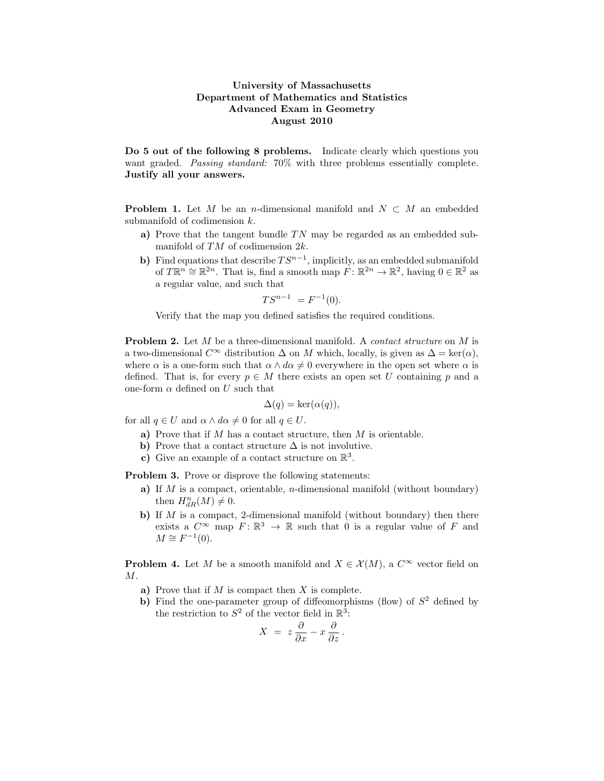## University of Massachusetts Department of Mathematics and Statistics Advanced Exam in Geometry August 2010

Do 5 out of the following 8 problems. Indicate clearly which questions you want graded. Passing standard: 70% with three problems essentially complete. Justify all your answers.

**Problem 1.** Let M be an n-dimensional manifold and  $N \subset M$  an embedded submanifold of codimension k.

- a) Prove that the tangent bundle  $TN$  may be regarded as an embedded submanifold of TM of codimension 2k.
- b) Find equations that describe  $TS^{n-1}$ , implicitly, as an embedded submanifold of  $T\mathbb{R}^n \cong \mathbb{R}^{2n}$ . That is, find a smooth map  $F: \mathbb{R}^{2n} \to \mathbb{R}^2$ , having  $0 \in \mathbb{R}^2$  as a regular value, and such that

$$
TS^{n-1} = F^{-1}(0).
$$

Verify that the map you defined satisfies the required conditions.

Problem 2. Let M be a three-dimensional manifold. A *contact structure* on M is a two-dimensional  $C^{\infty}$  distribution  $\Delta$  on M which, locally, is given as  $\Delta = \text{ker}(\alpha)$ , where  $\alpha$  is a one-form such that  $\alpha \wedge d\alpha \neq 0$  everywhere in the open set where  $\alpha$  is defined. That is, for every  $p \in M$  there exists an open set U containing p and a one-form  $\alpha$  defined on U such that

$$
\Delta(q) = \ker(\alpha(q)),
$$

for all  $q \in U$  and  $\alpha \wedge d\alpha \neq 0$  for all  $q \in U$ .

- a) Prove that if  $M$  has a contact structure, then  $M$  is orientable.
- b) Prove that a contact structure  $\Delta$  is not involutive.
- c) Give an example of a contact structure on  $\mathbb{R}^3$ .

Problem 3. Prove or disprove the following statements:

- a) If M is a compact, orientable, n-dimensional manifold (without boundary) then  $H_{dR}^n(M) \neq 0$ .
- b) If  $M$  is a compact, 2-dimensional manifold (without boundary) then there exists a  $C^{\infty}$  map  $F: \mathbb{R}^3 \to \mathbb{R}$  such that 0 is a regular value of F and  $M \cong F^{-1}(0)$ .

**Problem 4.** Let M be a smooth manifold and  $X \in \mathcal{X}(M)$ , a  $C^{\infty}$  vector field on M.

- a) Prove that if  $M$  is compact then  $X$  is complete.
- b) Find the one-parameter group of diffeomorphisms (flow) of  $S<sup>2</sup>$  defined by the restriction to  $S^2$  of the vector field in  $\mathbb{R}^3$ :

$$
X\ =\ z\ \frac{\partial}{\partial x}-x\ \frac{\partial}{\partial z}\,.
$$